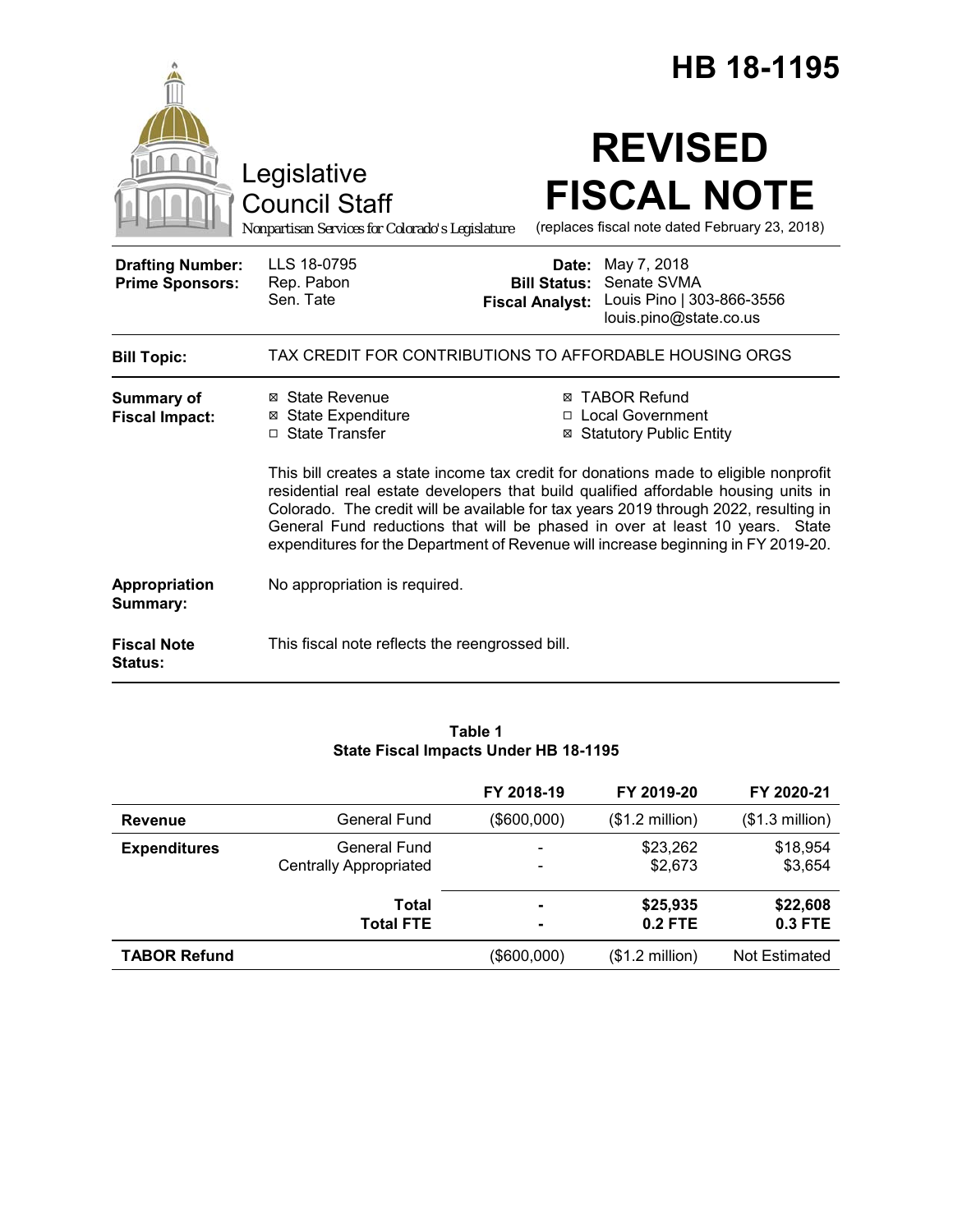|                                                   |                                                                                        | HB 18-1195                                                                                                                                                                                                                                                                                                                                                                                                                                                                                                                  |  |
|---------------------------------------------------|----------------------------------------------------------------------------------------|-----------------------------------------------------------------------------------------------------------------------------------------------------------------------------------------------------------------------------------------------------------------------------------------------------------------------------------------------------------------------------------------------------------------------------------------------------------------------------------------------------------------------------|--|
|                                                   | Legislative<br><b>Council Staff</b><br>Nonpartisan Services for Colorado's Legislature | <b>REVISED</b><br><b>FISCAL NOTE</b><br>(replaces fiscal note dated February 23, 2018)                                                                                                                                                                                                                                                                                                                                                                                                                                      |  |
| <b>Drafting Number:</b><br><b>Prime Sponsors:</b> | LLS 18-0795<br>Rep. Pabon<br>Sen. Tate                                                 | May 7, 2018<br>Date:<br>Senate SVMA<br><b>Bill Status:</b><br>Louis Pino   303-866-3556<br><b>Fiscal Analyst:</b><br>louis.pino@state.co.us                                                                                                                                                                                                                                                                                                                                                                                 |  |
| <b>Bill Topic:</b>                                |                                                                                        | TAX CREDIT FOR CONTRIBUTIONS TO AFFORDABLE HOUSING ORGS                                                                                                                                                                                                                                                                                                                                                                                                                                                                     |  |
| <b>Summary of</b><br><b>Fiscal Impact:</b>        | ⊠ State Revenue<br><b>⊠</b> State Expenditure<br>□ State Transfer                      | <b>⊠ TABOR Refund</b><br>□ Local Government<br><b>⊠ Statutory Public Entity</b><br>This bill creates a state income tax credit for donations made to eligible nonprofit<br>residential real estate developers that build qualified affordable housing units in<br>Colorado. The credit will be available for tax years 2019 through 2022, resulting in<br>General Fund reductions that will be phased in over at least 10 years. State<br>expenditures for the Department of Revenue will increase beginning in FY 2019-20. |  |
| Appropriation<br>Summary:                         | No appropriation is required.                                                          |                                                                                                                                                                                                                                                                                                                                                                                                                                                                                                                             |  |
| <b>Fiscal Note</b><br><b>Status:</b>              | This fiscal note reflects the reengrossed bill.                                        |                                                                                                                                                                                                                                                                                                                                                                                                                                                                                                                             |  |

# **Table 1 State Fiscal Impacts Under HB 18-1195**

|                     |                                               | FY 2018-19  | FY 2019-20               | FY 2020-21            |
|---------------------|-----------------------------------------------|-------------|--------------------------|-----------------------|
| <b>Revenue</b>      | <b>General Fund</b>                           | (\$600,000) | $($1.2$ million)         | $($1.3$ million)      |
| <b>Expenditures</b> | General Fund<br><b>Centrally Appropriated</b> |             | \$23,262<br>\$2,673      | \$18,954<br>\$3,654   |
|                     | Total<br><b>Total FTE</b>                     | ۰<br>۰      | \$25,935<br>$0.2$ FTE    | \$22,608<br>$0.3$ FTE |
| <b>TABOR Refund</b> |                                               | (\$600,000) | $($1.2 \text{ million})$ | Not Estimated         |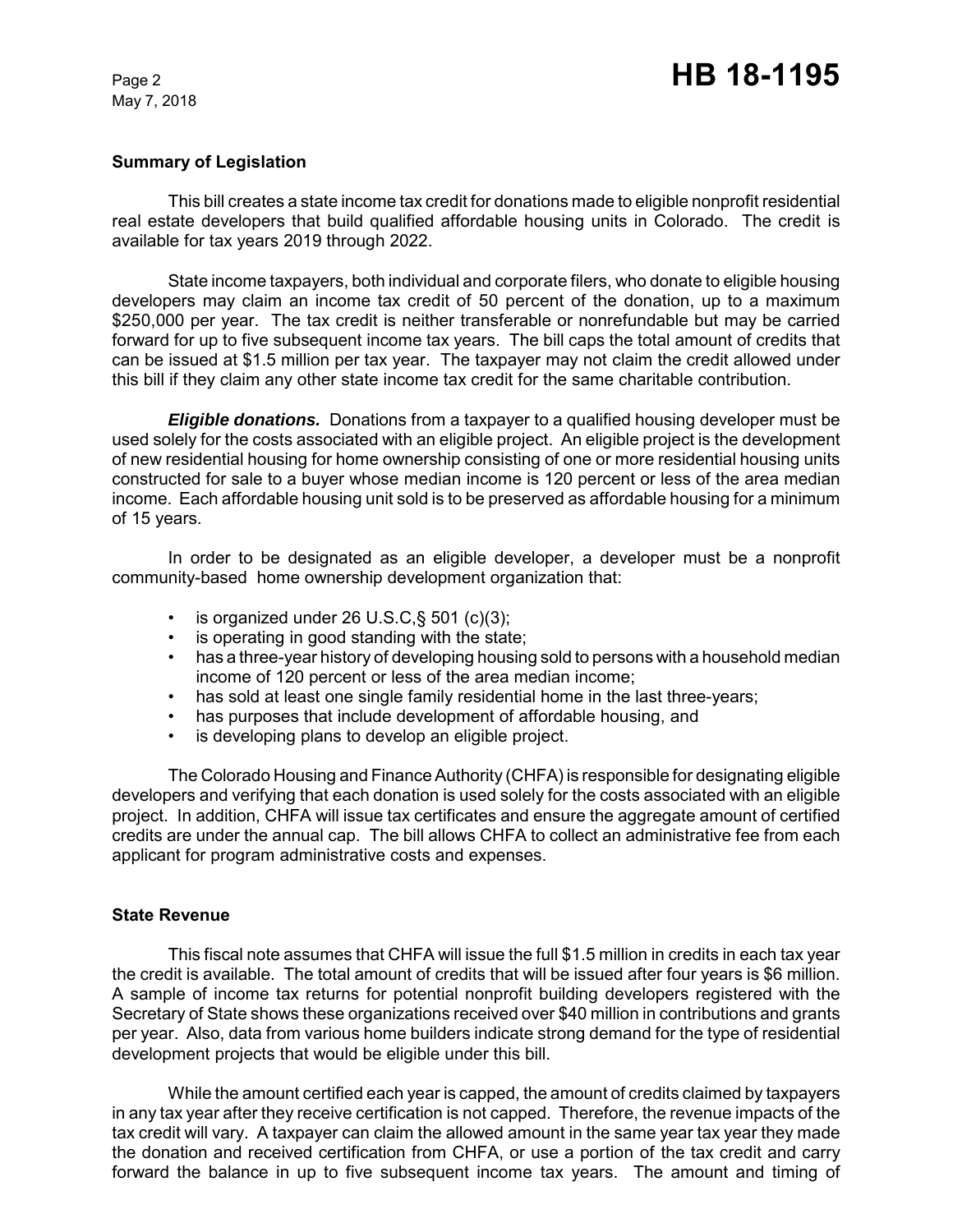#### **Summary of Legislation**

This bill creates a state income tax credit for donations made to eligible nonprofit residential real estate developers that build qualified affordable housing units in Colorado. The credit is available for tax years 2019 through 2022.

State income taxpayers, both individual and corporate filers, who donate to eligible housing developers may claim an income tax credit of 50 percent of the donation, up to a maximum \$250,000 per year. The tax credit is neither transferable or nonrefundable but may be carried forward for up to five subsequent income tax years. The bill caps the total amount of credits that can be issued at \$1.5 million per tax year. The taxpayer may not claim the credit allowed under this bill if they claim any other state income tax credit for the same charitable contribution.

*Eligible donations.* Donations from a taxpayer to a qualified housing developer must be used solely for the costs associated with an eligible project. An eligible project is the development of new residential housing for home ownership consisting of one or more residential housing units constructed for sale to a buyer whose median income is 120 percent or less of the area median income. Each affordable housing unit sold is to be preserved as affordable housing for a minimum of 15 years.

In order to be designated as an eligible developer, a developer must be a nonprofit community-based home ownership development organization that:

- is organized under 26 U.S.C,§ 501 (c)(3);
- is operating in good standing with the state;
- has a three-year history of developing housing sold to persons with a household median income of 120 percent or less of the area median income;
- has sold at least one single family residential home in the last three-years;
- has purposes that include development of affordable housing, and
- is developing plans to develop an eligible project.

The Colorado Housing and Finance Authority (CHFA) is responsible for designating eligible developers and verifying that each donation is used solely for the costs associated with an eligible project. In addition, CHFA will issue tax certificates and ensure the aggregate amount of certified credits are under the annual cap. The bill allows CHFA to collect an administrative fee from each applicant for program administrative costs and expenses.

#### **State Revenue**

This fiscal note assumes that CHFA will issue the full \$1.5 million in credits in each tax year the credit is available. The total amount of credits that will be issued after four years is \$6 million. A sample of income tax returns for potential nonprofit building developers registered with the Secretary of State shows these organizations received over \$40 million in contributions and grants per year. Also, data from various home builders indicate strong demand for the type of residential development projects that would be eligible under this bill.

While the amount certified each year is capped, the amount of credits claimed by taxpayers in any tax year after they receive certification is not capped. Therefore, the revenue impacts of the tax credit will vary. A taxpayer can claim the allowed amount in the same year tax year they made the donation and received certification from CHFA, or use a portion of the tax credit and carry forward the balance in up to five subsequent income tax years. The amount and timing of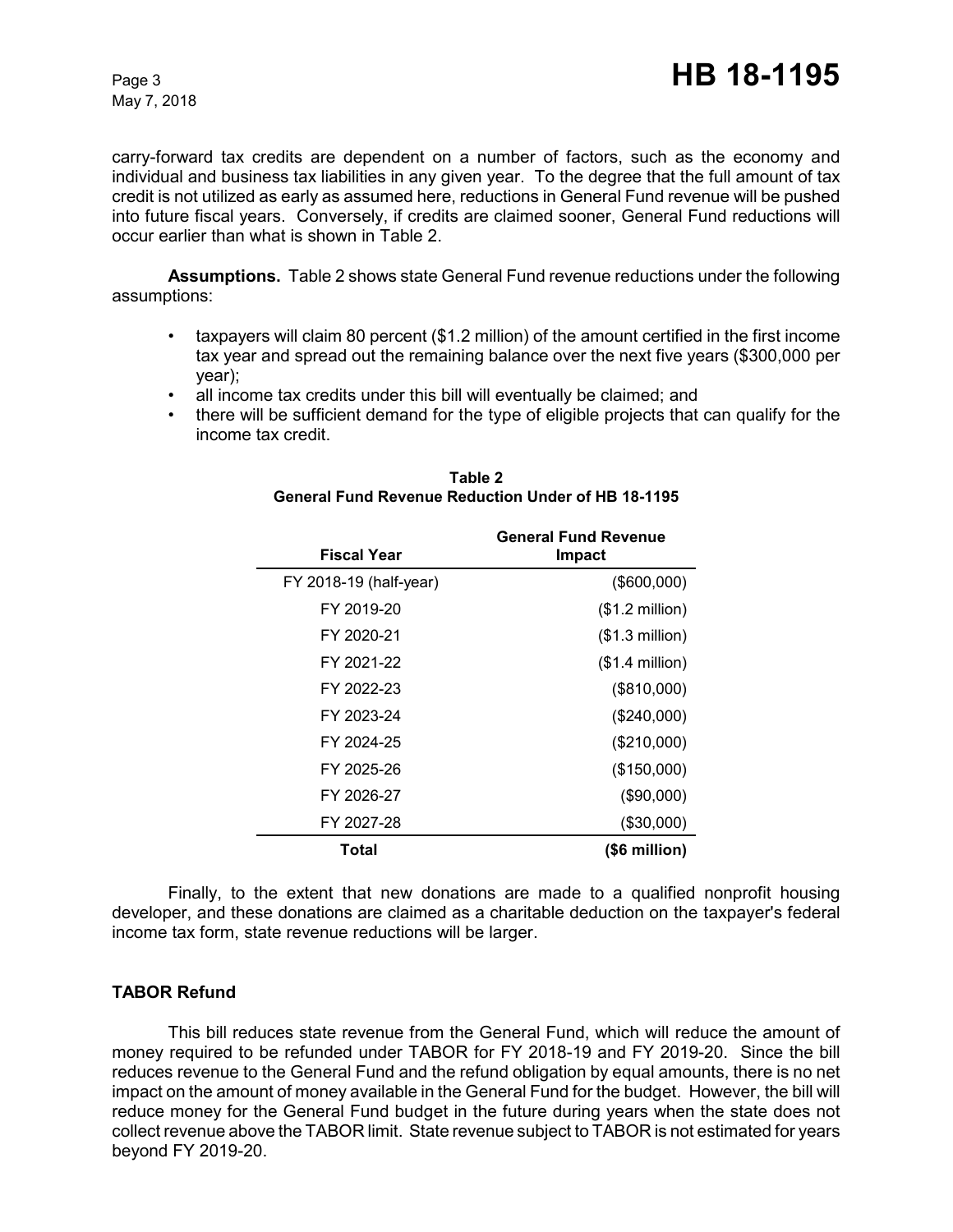carry-forward tax credits are dependent on a number of factors, such as the economy and individual and business tax liabilities in any given year. To the degree that the full amount of tax credit is not utilized as early as assumed here, reductions in General Fund revenue will be pushed into future fiscal years. Conversely, if credits are claimed sooner, General Fund reductions will occur earlier than what is shown in Table 2.

**Assumptions.**Table 2 shows state General Fund revenue reductions under the following assumptions:

- taxpayers will claim 80 percent (\$1.2 million) of the amount certified in the first income tax year and spread out the remaining balance over the next five years (\$300,000 per year);
- all income tax credits under this bill will eventually be claimed; and
- there will be sufficient demand for the type of eligible projects that can qualify for the income tax credit.

| <b>Fiscal Year</b>     | <b>General Fund Revenue</b><br>Impact |
|------------------------|---------------------------------------|
| FY 2018-19 (half-year) | (\$600,000)                           |
| FY 2019-20             | $($1.2$ million)                      |
| FY 2020-21             | $($1.3$ million $)$                   |
| FY 2021-22             | $($1.4$ million)                      |
| FY 2022-23             | (\$810,000)                           |
| FY 2023-24             | (\$240,000)                           |
| FY 2024-25             | (\$210,000)                           |
| FY 2025-26             | (\$150,000)                           |
| FY 2026-27             | (\$90,000)                            |
| FY 2027-28             | (\$30,000)                            |
| Total                  | (\$6 million)                         |

**Table 2 General Fund Revenue Reduction Under of HB 18-1195**

Finally, to the extent that new donations are made to a qualified nonprofit housing developer, and these donations are claimed as a charitable deduction on the taxpayer's federal income tax form, state revenue reductions will be larger.

## **TABOR Refund**

This bill reduces state revenue from the General Fund, which will reduce the amount of money required to be refunded under TABOR for FY 2018-19 and FY 2019-20. Since the bill reduces revenue to the General Fund and the refund obligation by equal amounts, there is no net impact on the amount of money available in the General Fund for the budget. However, the bill will reduce money for the General Fund budget in the future during years when the state does not collect revenue above the TABOR limit. State revenue subject to TABOR is not estimated for years beyond FY 2019-20.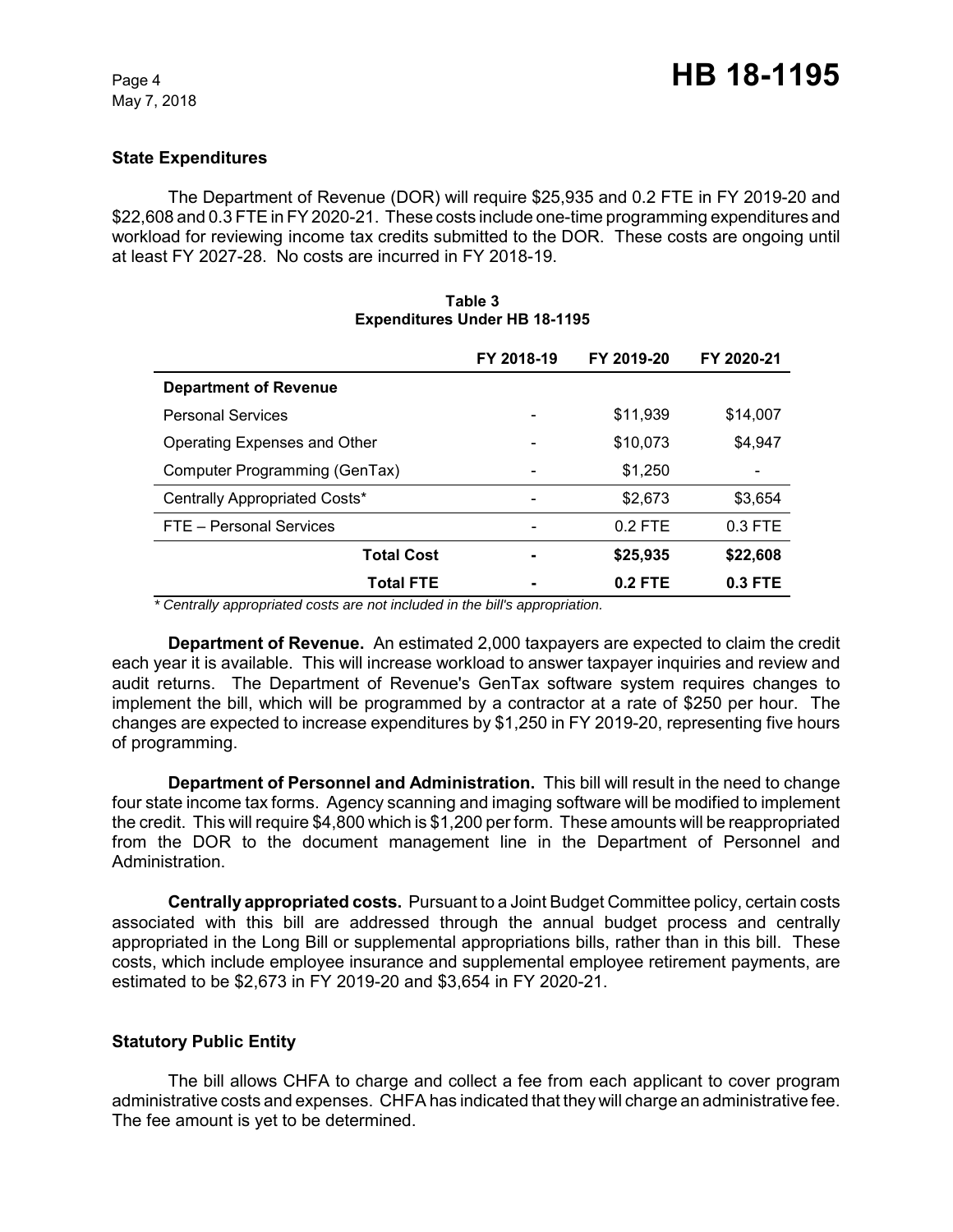### **State Expenditures**

The Department of Revenue (DOR) will require \$25,935 and 0.2 FTE in FY 2019-20 and \$22,608 and 0.3 FTE in FY 2020-21. These costs include one-time programming expenditures and workload for reviewing income tax credits submitted to the DOR. These costs are ongoing until at least FY 2027-28. No costs are incurred in FY 2018-19.

|                               | FY 2018-19               | FY 2019-20 | FY 2020-21 |
|-------------------------------|--------------------------|------------|------------|
| <b>Department of Revenue</b>  |                          |            |            |
| <b>Personal Services</b>      |                          | \$11,939   | \$14,007   |
| Operating Expenses and Other  |                          | \$10,073   | \$4,947    |
| Computer Programming (GenTax) |                          | \$1,250    |            |
| Centrally Appropriated Costs* | $\overline{\phantom{a}}$ | \$2,673    | \$3,654    |
| FTE - Personal Services       |                          | $0.2$ FTE  | $0.3$ FTE  |
| <b>Total Cost</b>             |                          | \$25,935   | \$22,608   |
| <b>Total FTE</b>              |                          | $0.2$ FTE  | $0.3$ FTE  |

#### **Table 3 Expenditures Under HB 18-1195**

 *\* Centrally appropriated costs are not included in the bill's appropriation.*

**Department of Revenue.** An estimated 2,000 taxpayers are expected to claim the credit each year it is available. This will increase workload to answer taxpayer inquiries and review and audit returns. The Department of Revenue's GenTax software system requires changes to implement the bill, which will be programmed by a contractor at a rate of \$250 per hour. The changes are expected to increase expenditures by \$1,250 in FY 2019-20, representing five hours of programming.

**Department of Personnel and Administration.** This bill will result in the need to change four state income tax forms. Agency scanning and imaging software will be modified to implement the credit. This will require \$4,800 which is \$1,200 per form. These amounts will be reappropriated from the DOR to the document management line in the Department of Personnel and Administration.

**Centrally appropriated costs.** Pursuant to a Joint Budget Committee policy, certain costs associated with this bill are addressed through the annual budget process and centrally appropriated in the Long Bill or supplemental appropriations bills, rather than in this bill. These costs, which include employee insurance and supplemental employee retirement payments, are estimated to be \$2,673 in FY 2019-20 and \$3,654 in FY 2020-21.

#### **Statutory Public Entity**

The bill allows CHFA to charge and collect a fee from each applicant to cover program administrative costs and expenses. CHFA has indicated that they will charge an administrative fee. The fee amount is yet to be determined.